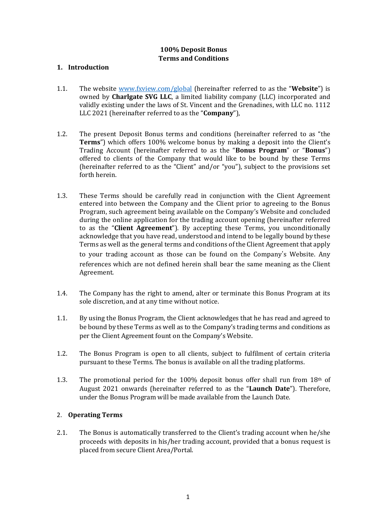# **100% Deposit Bonus Terms and Conditions**

### **1. Introduction**

- 1.1. The website [www.fxview.com/global](http://www.fxview.com/global) (hereinafter referred to as the "**Website**") is owned by **Charlgate SVG LLC**, a limited liability company (LLC) incorporated and validly existing under the laws of St. Vincent and the Grenadines, with LLC no. 1112 LLC 2021 (hereinafter referred to as the "**Company**"),
- 1.2. The present Deposit Bonus terms and conditions (hereinafter referred to as "the **Terms**") which offers 100% welcome bonus by making a deposit into the Client's Trading Account (hereinafter referred to as the "**Bonus Program**" or "**Bonus**") offered to clients of the Company that would like to be bound by these Terms (hereinafter referred to as the "Client" and/or "you"), subject to the provisions set forth herein.
- 1.3. These Terms should be carefully read in conjunction with the Client Agreement entered into between the Company and the Client prior to agreeing to the Bonus Program, such agreement being available on the Company's Website and concluded during the online application for the trading account opening (hereinafter referred to as the "**Client Agreement**"). By accepting these Terms, you unconditionally acknowledge that you have read, understood and intend to be legally bound by these Terms as well as the general terms and conditions of the Client Agreement that apply to your trading account as those can be found on the Company's Website. Any references which are not defined herein shall bear the same meaning as the Client Agreement.
- 1.4. The Company has the right to amend, alter or terminate this Bonus Program at its sole discretion, and at any time without notice.
- 1.1. By using the Bonus Program, the Client acknowledges that he has read and agreed to be bound by these Terms as well as to the Company's trading terms and conditions as per the Client Agreement fount on the Company's Website.
- 1.2. The Bonus Program is open to all clients, subject to fulfilment of certain criteria pursuant to these Terms. The bonus is available on all the trading platforms.
- 1.3. The promotional period for the 100% deposit bonus offer shall run from  $18<sup>th</sup>$  of August 2021 onwards (hereinafter referred to as the "**Launch Date**"). Therefore, under the Bonus Program will be made available from the Launch Date.

### 2. **Operating Terms**

2.1. The Bonus is automatically transferred to the Client's trading account when he/she proceeds with deposits in his/her trading account, provided that a bonus request is placed from secure Client Area/Portal.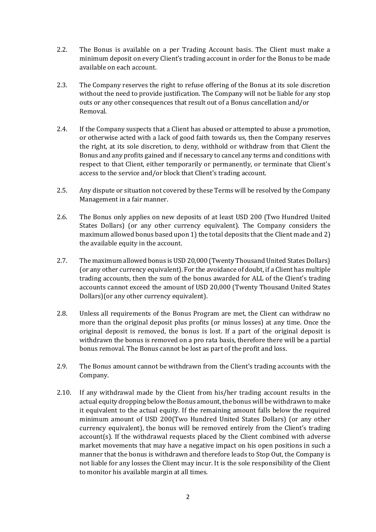- 2.2. The Bonus is available on a per Trading Account basis. The Client must make a minimum deposit on every Client's trading account in order for the Bonus to be made available on each account.
- 2.3. The Company reserves the right to refuse offering of the Bonus at its sole discretion without the need to provide justification. The Company will not be liable for any stop outs or any other consequences that result out of a Bonus cancellation and/or Removal.
- 2.4. If the Company suspects that a Client has abused or attempted to abuse a promotion, or otherwise acted with a lack of good faith towards us, then the Company reserves the right, at its sole discretion, to deny, withhold or withdraw from that Client the Bonus and any profits gained and if necessary to cancel any terms and conditions with respect to that Client, either temporarily or permanently, or terminate that Client's access to the service and/or block that Client's trading account.
- 2.5. Any dispute or situation not covered by these Terms will be resolved by the Company Management in a fair manner.
- 2.6. The Bonus only applies on new deposits of at least USD 200 (Two Hundred United States Dollars) (or any other currency equivalent). The Company considers the maximum allowed bonus based upon 1) the total deposits that the Client made and 2) the available equity in the account.
- 2.7. The maximum allowed bonus is USD 20,000 (Twenty Thousand United States Dollars) (or any other currency equivalent). For the avoidance of doubt, if a Client has multiple trading accounts, then the sum of the bonus awarded for ALL of the Client's trading accounts cannot exceed the amount of USD 20,000 (Twenty Thousand United States Dollars)(or any other currency equivalent).
- 2.8. Unless all requirements of the Bonus Program are met, the Client can withdraw no more than the original deposit plus profits (or minus losses) at any time. Once the original deposit is removed, the bonus is lost. If a part of the original deposit is withdrawn the bonus is removed on a pro rata basis, therefore there will be a partial bonus removal. The Bonus cannot be lost as part of the profit and loss.
- 2.9. The Bonus amount cannot be withdrawn from the Client's trading accounts with the Company.
- 2.10. If any withdrawal made by the Client from his/her trading account results in the actual equity dropping below the Bonus amount, the bonus will be withdrawn to make it equivalent to the actual equity. If the remaining amount falls below the required minimum amount of USD 200(Two Hundred United States Dollars) (or any other currency equivalent), the bonus will be removed entirely from the Client's trading account(s). If the withdrawal requests placed by the Client combined with adverse market movements that may have a negative impact on his open positions in such a manner that the bonus is withdrawn and therefore leads to Stop Out, the Company is not liable for any losses the Client may incur. It is the sole responsibility of the Client to monitor his available margin at all times.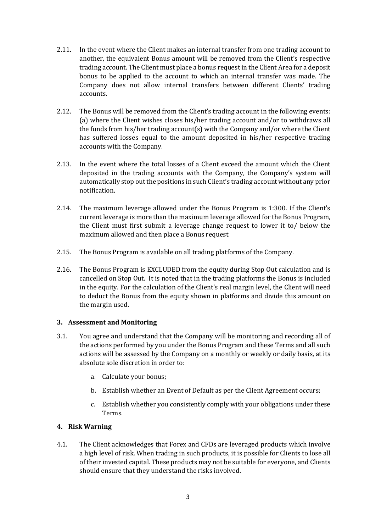- 2.11. In the event where the Client makes an internal transfer from one trading account to another, the equivalent Bonus amount will be removed from the Client's respective trading account. The Client must place a bonus request in the Client Area for a deposit bonus to be applied to the account to which an internal transfer was made. The Company does not allow internal transfers between different Clients' trading accounts.
- 2.12. The Bonus will be removed from the Client's trading account in the following events: (a) where the Client wishes closes his/her trading account and/or to withdraws all the funds from his/her trading account(s) with the Company and/or where the Client has suffered losses equal to the amount deposited in his/her respective trading accounts with the Company.
- 2.13. In the event where the total losses of a Client exceed the amount which the Client deposited in the trading accounts with the Company, the Company's system will automatically stop out the positions in such Client's trading account without any prior notification.
- 2.14. The maximum leverage allowed under the Bonus Program is 1:300. If the Client's current leverage is more than the maximum leverage allowed for the Bonus Program, the Client must first submit a leverage change request to lower it to/ below the maximum allowed and then place a Bonus request.
- 2.15. The Bonus Program is available on all trading platforms of the Company.
- 2.16. The Bonus Program is EXCLUDED from the equity during Stop Out calculation and is cancelled on Stop Out. It is noted that in the trading platforms the Bonus is included in the equity. For the calculation of the Client's real margin level, the Client will need to deduct the Bonus from the equity shown in platforms and divide this amount on the margin used.

### **3. Assessment and Monitoring**

- 3.1. You agree and understand that the Company will be monitoring and recording all of the actions performed by you under the Bonus Program and these Terms and all such actions will be assessed by the Company on a monthly or weekly or daily basis, at its absolute sole discretion in order to:
	- a. Calculate your bonus;
	- b. Establish whether an Event of Default as per the Client Agreement occurs;
	- c. Establish whether you consistently comply with your obligations under these Terms.

# **4. Risk Warning**

4.1. The Client acknowledges that Forex and CFDs are leveraged products which involve a high level of risk. When trading in such products, it is possible for Clients to lose all of their invested capital. These products may not be suitable for everyone, and Clients should ensure that they understand the risks involved.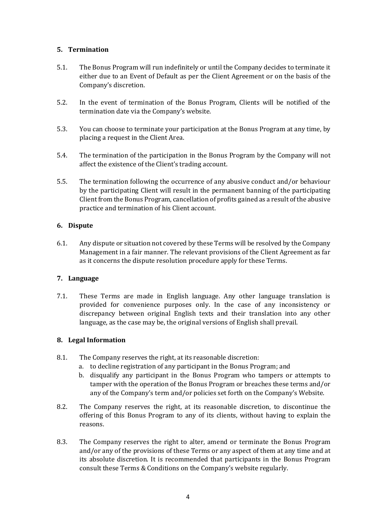### **5. Termination**

- 5.1. The Bonus Program will run indefinitely or until the Company decides to terminate it either due to an Event of Default as per the Client Agreement or on the basis of the Company's discretion.
- 5.2. In the event of termination of the Bonus Program, Clients will be notified of the termination date via the Company's website.
- 5.3. You can choose to terminate your participation at the Bonus Program at any time, by placing a request in the Client Area.
- 5.4. The termination of the participation in the Bonus Program by the Company will not affect the existence of the Client's trading account.
- 5.5. The termination following the occurrence of any abusive conduct and/or behaviour by the participating Client will result in the permanent banning of the participating Client from the Bonus Program, cancellation of profits gained as a result of the abusive practice and termination of his Client account.

### **6. Dispute**

6.1. Any dispute or situation not covered by these Terms will be resolved by the Company Management in a fair manner. The relevant provisions of the Client Agreement as far as it concerns the dispute resolution procedure apply for these Terms.

### **7. Language**

7.1. These Terms are made in English language. Any other language translation is provided for convenience purposes only. In the case of any inconsistency or discrepancy between original English texts and their translation into any other language, as the case may be, the original versions of English shall prevail.

# **8. Legal Information**

- 8.1. The Company reserves the right, at its reasonable discretion:
	- a. to decline registration of any participant in the Bonus Program; and
	- b. disqualify any participant in the Bonus Program who tampers or attempts to tamper with the operation of the Bonus Program or breaches these terms and/or any of the Company's term and/or policies set forth on the Company's Website.
- 8.2. The Company reserves the right, at its reasonable discretion, to discontinue the offering of this Bonus Program to any of its clients, without having to explain the reasons.
- 8.3. The Company reserves the right to alter, amend or terminate the Bonus Program and/or any of the provisions of these Terms or any aspect of them at any time and at its absolute discretion. It is recommended that participants in the Bonus Program consult these Terms & Conditions on the Company's website regularly.